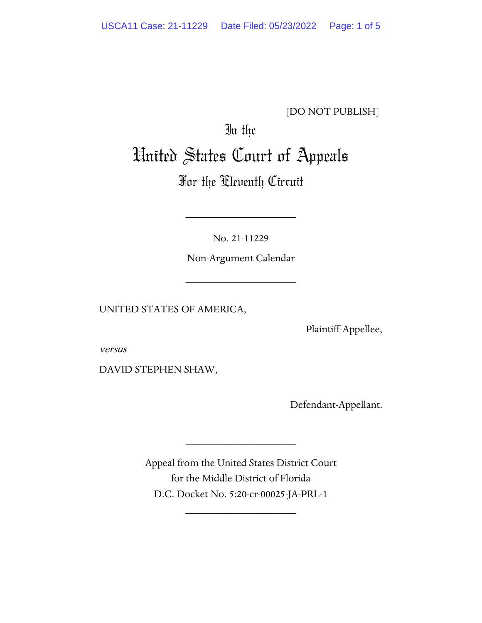[DO NOT PUBLISH]

## In the United States Court of Appeals

## For the Eleventh Circuit

No. 21-11229

\_\_\_\_\_\_\_\_\_\_\_\_\_\_\_\_\_\_\_\_

Non-Argument Calendar

\_\_\_\_\_\_\_\_\_\_\_\_\_\_\_\_\_\_\_\_

UNITED STATES OF AMERICA,

Plaintiff-Appellee,

versus

DAVID STEPHEN SHAW,

Defendant-Appellant.

Appeal from the United States District Court for the Middle District of Florida D.C. Docket No. 5:20-cr-00025-JA-PRL-1

\_\_\_\_\_\_\_\_\_\_\_\_\_\_\_\_\_\_\_\_

\_\_\_\_\_\_\_\_\_\_\_\_\_\_\_\_\_\_\_\_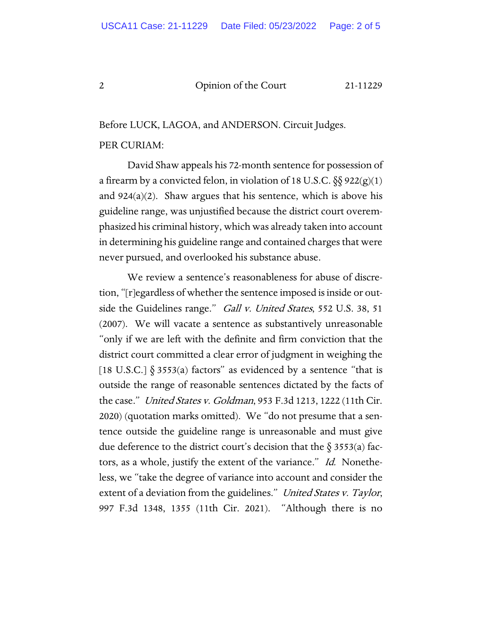## 2 Opinion of the Court 21-11229

Before LUCK, LAGOA, and ANDERSON. Circuit Judges. PER CURIAM:

David Shaw appeals his 72-month sentence for possession of a firearm by a convicted felon, in violation of 18 U.S.C.  $\S\ S$  922(g)(1) and  $924(a)(2)$ . Shaw argues that his sentence, which is above his guideline range, was unjustified because the district court overemphasized his criminal history, which was already taken into account in determining his guideline range and contained charges that were never pursued, and overlooked his substance abuse.

We review a sentence's reasonableness for abuse of discretion, "[r]egardless of whether the sentence imposed is inside or outside the Guidelines range." Gall v. United States, 552 U.S. 38, 51 (2007). We will vacate a sentence as substantively unreasonable "only if we are left with the definite and firm conviction that the district court committed a clear error of judgment in weighing the [18 U.S.C.]  $\S 3553(a)$  factors" as evidenced by a sentence "that is outside the range of reasonable sentences dictated by the facts of the case." United States v. Goldman, 953 F.3d 1213, 1222 (11th Cir. 2020) (quotation marks omitted). We "do not presume that a sentence outside the guideline range is unreasonable and must give due deference to the district court's decision that the  $\S$  3553(a) factors, as a whole, justify the extent of the variance." Id. Nonetheless, we "take the degree of variance into account and consider the extent of a deviation from the guidelines." United States v. Taylor, 997 F.3d 1348, 1355 (11th Cir. 2021). "Although there is no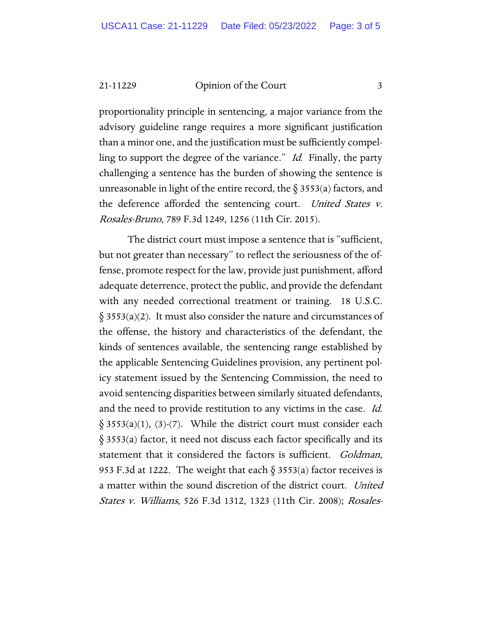21-11229 Opinion of the Court 3

proportionality principle in sentencing, a major variance from the advisory guideline range requires a more significant justification than a minor one, and the justification must be sufficiently compelling to support the degree of the variance." Id. Finally, the party challenging a sentence has the burden of showing the sentence is unreasonable in light of the entire record, the  $\S$  3553(a) factors, and the deference afforded the sentencing court. United States v. Rosales-Bruno, 789 F.3d 1249, 1256 (11th Cir. 2015).

The district court must impose a sentence that is "sufficient, but not greater than necessary" to reflect the seriousness of the offense, promote respect for the law, provide just punishment, afford adequate deterrence, protect the public, and provide the defendant with any needed correctional treatment or training. 18 U.S.C.  $\S$  3553(a)(2). It must also consider the nature and circumstances of the offense, the history and characteristics of the defendant, the kinds of sentences available, the sentencing range established by the applicable Sentencing Guidelines provision, any pertinent policy statement issued by the Sentencing Commission, the need to avoid sentencing disparities between similarly situated defendants, and the need to provide restitution to any victims in the case. Id.  $\S$  3553(a)(1), (3)-(7). While the district court must consider each § 3553(a) factor, it need not discuss each factor specifically and its statement that it considered the factors is sufficient. *Goldman*, 953 F.3d at 1222. The weight that each  $\delta$  3553(a) factor receives is a matter within the sound discretion of the district court. United States v. Williams, 526 F.3d 1312, 1323 (11th Cir. 2008); Rosales-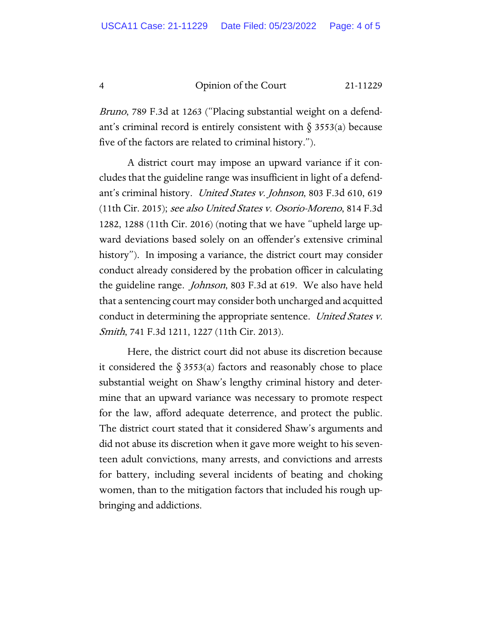4 Opinion of the Court 21-11229

Bruno, 789 F.3d at 1263 ("Placing substantial weight on a defendant's criminal record is entirely consistent with  $\S$  3553(a) because five of the factors are related to criminal history.").

A district court may impose an upward variance if it concludes that the guideline range was insufficient in light of a defendant's criminal history. United States v. Johnson, 803 F.3d 610, 619 (11th Cir. 2015); see also United States v. Osorio-Moreno, 814 F.3d 1282, 1288 (11th Cir. 2016) (noting that we have "upheld large upward deviations based solely on an offender's extensive criminal history"). In imposing a variance, the district court may consider conduct already considered by the probation officer in calculating the guideline range. Johnson, 803 F.3d at 619. We also have held that a sentencing court may consider both uncharged and acquitted conduct in determining the appropriate sentence. United States v. *Smith*, 741 F.3d 1211, 1227 (11th Cir. 2013).

Here, the district court did not abuse its discretion because it considered the  $\S 3553(a)$  factors and reasonably chose to place substantial weight on Shaw's lengthy criminal history and determine that an upward variance was necessary to promote respect for the law, afford adequate deterrence, and protect the public. The district court stated that it considered Shaw's arguments and did not abuse its discretion when it gave more weight to his seventeen adult convictions, many arrests, and convictions and arrests for battery, including several incidents of beating and choking women, than to the mitigation factors that included his rough upbringing and addictions.